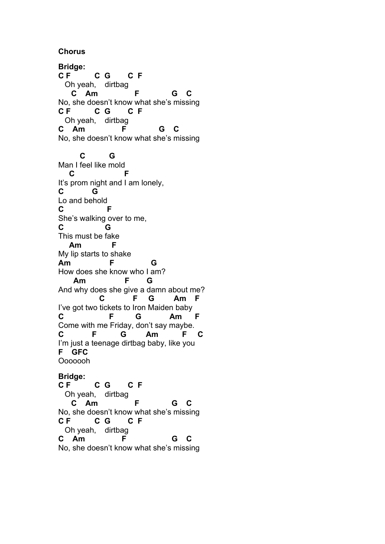**Chorus**

**Bridge: C F C G C F** Oh yeah, dirtbag  **C Am F G C** No, she doesn't know what she's missing **C F C G C F** Oh yeah, dirtbag **C Am F G C** No, she doesn't know what she's missing  **C G** Man I feel like mold<br>C<br>F  $\mathbf{C}$ It's prom night and I am lonely, **C G** Lo and behold **C F** She's walking over to me, **C G** This must be fake  **Am F** My lip starts to shake **Am F G** How does she know who I am?  **Am F G** And why does she give a damn about me?  **C F G Am F** I've got two tickets to Iron Maiden baby **C F G Am F** Come with me Friday, don't say maybe. **C F G Am F C** I'm just a teenage dirtbag baby, like you **F GFC** Ooooooh

**Bridge: C F C G C F** Oh yeah, dirtbag  **C Am F G C** No, she doesn't know what she's missing **C F C G C F** Oh yeah, dirtbag **C Am F G C** No, she doesn't know what she's missing